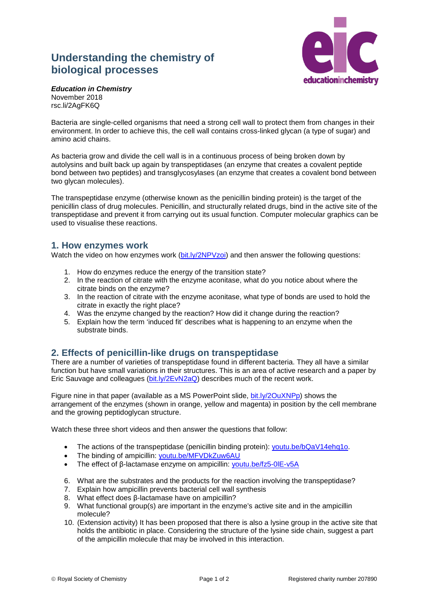## **Understanding the chemistry of biological processes**



*Education in Chemistry* November 2018 rsc.li/2AgFK6Q

Bacteria are single-celled organisms that need a strong cell wall to protect them from changes in their environment. In order to achieve this, the cell wall contains cross-linked glycan (a type of sugar) and amino acid chains.

As bacteria grow and divide the cell wall is in a continuous process of being broken down by autolysins and built back up again by transpeptidases (an enzyme that creates a covalent peptide bond between two peptides) and transglycosylases (an enzyme that creates a covalent bond between two glycan molecules).

The transpeptidase enzyme (otherwise known as the penicillin binding protein) is the target of the penicillin class of drug molecules. Penicillin, and structurally related drugs, bind in the active site of the transpeptidase and prevent it from carrying out its usual function. Computer molecular graphics can be used to visualise these reactions.

## **1. How enzymes work**

Watch the video on how enzymes work [\(bit.ly/2NPVzoi\)](http://bit.ly/2NPVzoi) and then answer the following questions:

- 1. How do enzymes reduce the energy of the transition state?
- 2. In the reaction of citrate with the enzyme aconitase, what do you notice about where the citrate binds on the enzyme?
- 3. In the reaction of citrate with the enzyme aconitase, what type of bonds are used to hold the citrate in exactly the right place?
- 4. Was the enzyme changed by the reaction? How did it change during the reaction?
- 5. Explain how the term 'induced fit' describes what is happening to an enzyme when the substrate binds.

## **2. Effects of penicillin-like drugs on transpeptidase**

There are a number of varieties of transpeptidase found in different bacteria. They all have a similar function but have small variations in their structures. This is an area of active research and a paper by Eric Sauvage and colleagues [\(bit.ly/2EvN2aQ\)](http://bit.ly/2EvN2aQ) describes much of the recent work.

Figure nine in that paper (available as a MS PowerPoint slide, [bit.ly/2OuXNPp\)](http://bit.ly/2OuXNPp) shows the arrangement of the enzymes (shown in orange, yellow and magenta) in position by the cell membrane and the growing peptidoglycan structure.

Watch these three short videos and then answer the questions that follow:

- The actions of the transpeptidase (penicillin binding protein): [youtu.be/bQaV14ehq1o.](https://youtu.be/bQaV14ehq1o)
- The binding of ampicillin: [youtu.be/MFVDkZuw6AU](https://youtu.be/MFVDkZuw6AU)
- The effect of β-lactamase enzyme on ampicillin: [youtu.be/fz5-0lE-v5A](https://youtu.be/fz5-0lE-v5A)
- 6. What are the substrates and the products for the reaction involving the transpeptidase?
- 7. Explain how ampicillin prevents bacterial cell wall synthesis
- 8. What effect does β-lactamase have on ampicillin?
- 9. What functional group(s) are important in the enzyme's active site and in the ampicillin molecule?
- 10. (Extension activity) It has been proposed that there is also a lysine group in the active site that holds the antibiotic in place. Considering the structure of the lysine side chain, suggest a part of the ampicillin molecule that may be involved in this interaction.